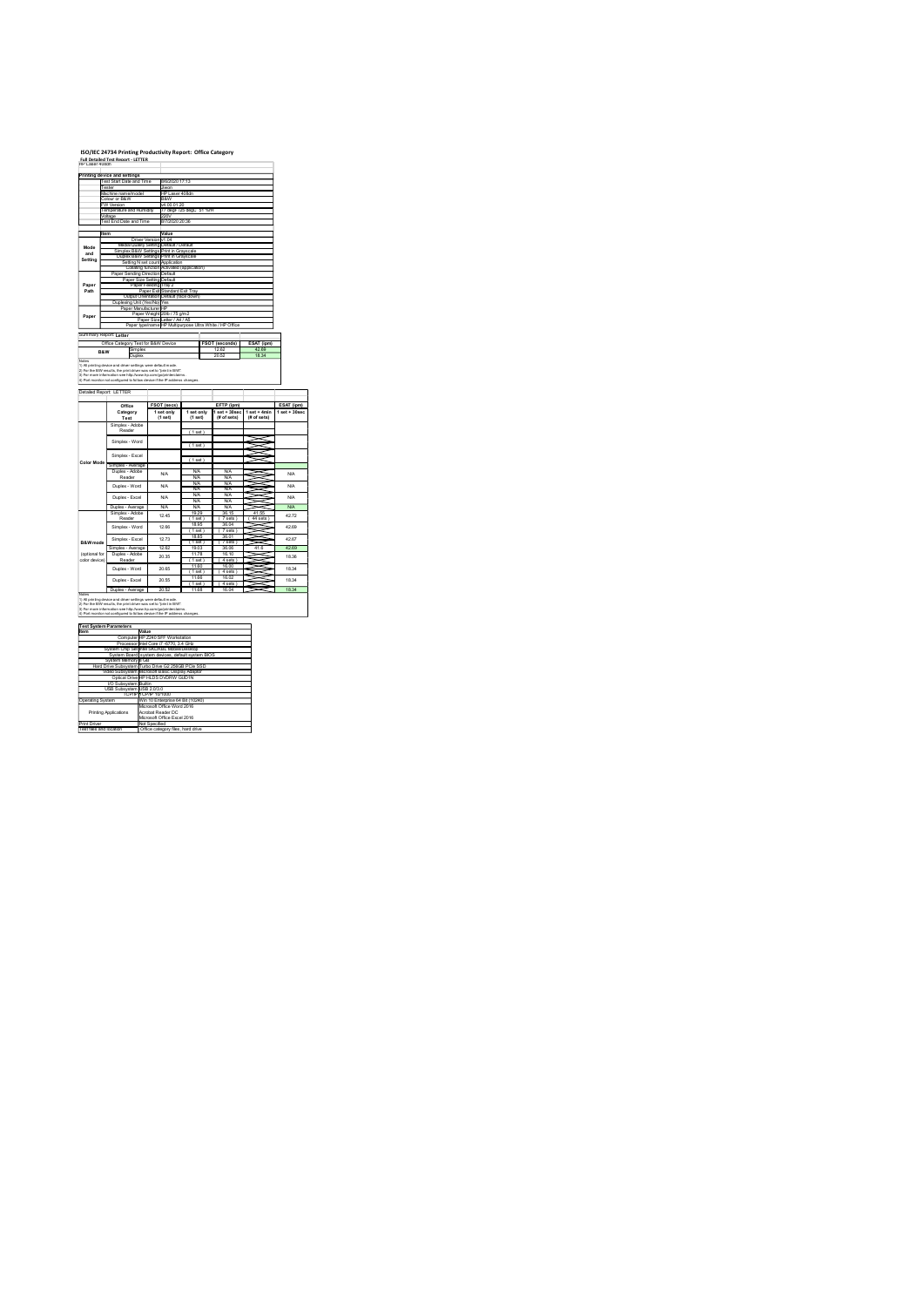## ISO/IEC 24734 Printing Productivity Report: Office Category Full Detailed Test Report - LETTER

|                | ISO/IEC 24734 Printing Productivity Report: Office Category                                                                                                                                                                                                                     |                                                                                                                     |                                        |                                                          |                                                    |
|----------------|---------------------------------------------------------------------------------------------------------------------------------------------------------------------------------------------------------------------------------------------------------------------------------|---------------------------------------------------------------------------------------------------------------------|----------------------------------------|----------------------------------------------------------|----------------------------------------------------|
|                | Full Detailed Test Report - LETTER<br>HP Laser 408dn                                                                                                                                                                                                                            |                                                                                                                     |                                        |                                                          |                                                    |
|                | Printing device and settings<br>Test Start Date and Time<br>este                                                                                                                                                                                                                | 8/6/2020 17:13<br>Jiwon<br>HP Laser 408dn<br>B&W                                                                    |                                        |                                                          |                                                    |
|                | fachine name/mode<br>¦olour or B&W<br>W Version                                                                                                                                                                                                                                 |                                                                                                                     |                                        |                                                          |                                                    |
|                | emperature and Humidity                                                                                                                                                                                                                                                         |                                                                                                                     | v4.00.01.20<br>77 degF /25 degC 51 %rH |                                                          |                                                    |
|                | oltage<br>'est End Date and Time                                                                                                                                                                                                                                                | 220V<br>8/7/2020 20:36                                                                                              |                                        |                                                          |                                                    |
| Mode<br>and    |                                                                                                                                                                                                                                                                                 | Value<br>Driver Version v1.04<br>Media/Quality Setting Default / Default<br>Simplex B&W Settings Print in Grayscale |                                        |                                                          |                                                    |
| Setting        | Setting N set count Application<br>Collating function Activated (application)<br>Paper Sending Direction Default                                                                                                                                                                | Duplex B&W Settings Print in Grayscale                                                                              |                                        |                                                          |                                                    |
| Paper<br>Path  |                                                                                                                                                                                                                                                                                 |                                                                                                                     |                                        |                                                          |                                                    |
| Paper          |                                                                                                                                                                                                                                                                                 |                                                                                                                     |                                        |                                                          |                                                    |
|                | Pape Serials Direction Default<br>Pape Size Setting Default<br>Pape Size Setting Default<br>Pape Size Setting Default<br>Pape There Setting Default<br>Display Default<br>Pape Size Albert IV (19 pm)<br>Pape Size Albert IV (19 pm)<br>Pape Size Albe<br>Summary Report Letter |                                                                                                                     |                                        |                                                          |                                                    |
| <b>B&amp;W</b> | Office Category Test for B&W Device<br>Duplex                                                                                                                                                                                                                                   |                                                                                                                     |                                        | FSOT (seconds)<br>12.62<br>20.52                         | ESAT (ipm)<br>42.69<br>18.34                       |
|                |                                                                                                                                                                                                                                                                                 |                                                                                                                     |                                        |                                                          |                                                    |
|                | Duplex    Duplex<br>1) Ali printing device and chiver settings were default mode.<br>2) For the BW reacity, be print driver was setto "print in BW".<br>4) For more information see http://www.hp.com/go/printentalms.<br>4) Port monito<br>Detailed Report: LETTER             |                                                                                                                     |                                        |                                                          |                                                    |
|                | Office<br>Category                                                                                                                                                                                                                                                              | FSOT (secs)<br>1 set only<br>(1 set)                                                                                | 1 set only<br>(1 set)                  | EFTP (ipm)<br>$1$ set $+30$ sec<br>$(B \text{ of sets})$ | $1$ set + 4min<br>$1 set + 30 sec$<br>$#$ of sets) |
|                | Test<br>Simplex - Adobe<br>Reader<br>Simplex - Word                                                                                                                                                                                                                             |                                                                                                                     | (1 set)                                |                                                          |                                                    |
| Color Mode     | Simplex - Excel                                                                                                                                                                                                                                                                 |                                                                                                                     | (1 set)<br>(1 set)                     |                                                          | S<br>≋                                             |
|                | Simplex - Average<br>Duplex - Adobe<br>Reader<br>Duplex - Word                                                                                                                                                                                                                  | <b>N/A</b><br><b>N/A</b>                                                                                            | NA<br>NA<br>NA<br>NA                   | NA<br>NA<br>NA<br>NA                                     | ≊<br>≂<br>SSI                                      |

setoniky 1 setoniky 1 set + 4minini 1 set + 30sec<br>(1 set) (1 set) (#fof sets) (#fof sets) ( set + 4 min | 1 set + 30sec | 1 set + 30sec | 1 set + 1 set + 1 set + 1 set + 1 set + 30sec | 1 set + 30sec | ( 1 set )  $(1$  set)  $\Box$  $(1$  set )  $\Box$ Simplex - Average N/A N/A N/A N/A N/A N/A N/A N/A N/A N/A N/A N/A Duplex - Average N/A N/A N/A N/A 19.29 36.15 41.55 4.51.55 4.51.55 4.51.55 4.52.55 4.52.55 4.52.55 4.52.55 4.52.55 4.52.55 4.52.55 4.52.55 4.52<br>19.29 36.15 4.52.55 4.52.55 4.52.55 4.52.55 4.52.55 4.52.55 4.52.55 4.52.55 4.52.55 4.52.55 4.52.55 4.52.55 4. ( 1 sets ) ( 1 sets ) ( 1 sets ) ( 1 sets ) ( 1 sets ) ( 1 sets ) ( 1 sets ) ( 1 sets ) ( 1 sets ) ( 1 sets ) ( 1 sets ) ( 1 sets ) ( 1 sets ) ( 1 sets ) ( 1 sets ) ( 1 sets ) ( 1 sets ) ( 1 sets ) ( 1 sets ) ( 1 sets ) ( ( 1 sets ) ( 1 sets ) 18.85 36.01 <br>
( 1 sets ) ( 1 sets ) ( 1 sets ) ( 1 sets ) ( 1 sets ) ( 1 sets ) ( 1 sets ) ( 1 sets ) ( 1 sets ) ( 1 sets )<br>
( 1 sets ) ( 1 sets ) ( 1 sets ) ( 1 sets ) ( 1 sets ) ( 1 sets ) ( 1 sets ( 1 set ) ( 7 sets ) Simplex - Average 12.62 19.03 36.06 41.6 42.69 11. – 12. – 12. – 12. – 12. – 12. – 12. – 12. – 12. – 12. – 12. – 12. – 12. – 12. – 12. – 12. – 12. – 12. – 12<br>14. – 12. – 12. – 12. – 12. – 12. – 12. – 12. – 12. – 12. – 12. – 12. – 12. – 12. – 12. – 12. – 12. – 12. – 1<br>1 ( 1 set ) ( 1 set ) ( 1 set ) ( 1 set ) ( 1 set ) ( 1 set ) ( 1 set ) ( 1 set ) ( 1 set ) ( 1 set ) ( 1 set ) ( 1 set ) ( 1 set ) ( 1 set ) ( 1 set ) ( 1 set ) ( 1 set ) ( 1 set ) ( 1 set ) ( 1 set ) ( 1 set ) ( 1 set ) ( ( 1 sets ) and the control of the control of the control of the control of the control of the control of the control of the control of the control of the control of the control of the control of the control of the control ( 1 set ) ( 4 sets ) Duplex - Average 20.52 11.68 16.04 18.34 42.67 Detailed Report: LETTER Office EFTP (ipm) Category Test N/A N/A N/A N/A Simplex - Word  $\frac{400 \text{ m/s}}{\text{Cylber A}} = \frac{0.04 \times 10^{-14} \text{ m}^2 \cdot \frac{(1.04 \times 10^{-14} \text{ m}^2 \cdot \text{m}^2 \cdot \text{m}^2 \cdot \text{m}^2 \cdot \text{m}^2 \cdot \text{m}^2 \cdot \text{m}^2 \cdot \text{m}^2 \cdot \text{m}^2 \cdot \text{m}^2 \cdot \text{m}^2 \cdot \text{m}^2 \cdot \text{m}^2 \cdot \text{m}^2 \cdot \text{m}^2 \cdot \text{m}^2 \cdot \text{m}^2 \cdot \text{m}$ color device) Color device ) Color Mode Simplex - Adobe Reader Simplex - Adobe Reader Simplex - Adobe Reader Simplex - Adobe Reader Simplex - Adobe Reader Simplex - Adobe Reader Simplex - Adobe Reader Simplex - Adobe Reade  $\begin{array}{|c|c|c|c|c|c|} \hline \text{WAD} & \text{WAD} & \text{WAD} & \text{WAD} & \text{WAD} & \text{WAD} & \text{WAD} & \text{WAD} & \text{WAD} & \text{WAD} & \text{WAD} & \text{WAD} & \text{WAD} & \text{WAD} & \text{WAD} & \text{WAD} & \text{WAD} & \text{WAD} & \text{WAD} & \text{WAD} & \text{WAD} & \text{WAD} & \text{WAD} & \text{WAD} & \text{WAD} & \text{WAD} & \text{WAD} & \text{WAD} & \text$ 18.34 20.65 Simplex - Excel 12.73 Simplex - Excel 12.73 Simplex - Excel 12.73 Simplex - Excel 12.73 Simplex - Excel 1<br>
20.73 Simplex - Excel 12.73 Simplex - Excel 12.73 Simplex - Excel 12.73 Simplex - Excel 12.73 Simplex - Exce N/A N/A N/A N/A N/A N/A N/A<br>N/A N/A N/A N/A N/A N/A N/A<br>12.45 N/29 ⊗ 35.15 4.1.55 A/272 42.72 42.69 Item Value Computer HP Z240 SFF Workstation Processor Intel Computer HP Z240 SFF Workstation Processor Intel Core i7 -6770, 3.4 GHz System Chip Set Intel Core intel Computer HP System Board system Board system Board Syste System Memory 8 GB Hard Drive Subsystem Turbo Drive G2 256GB PCIe SSD Video Subsystem Microsoft Basic Display Adaptor Optical Drive HP HLDS DVDRW GUD1N I/O Subsystem Builtin USB Subsystem USB 2.0/3.0 TCP/IP TCP/IP 10/1000 Operating System Win 10 Enterprise 64 Bit (10240) Printing Applications Microsoft Office Word 2016 Acrobat Reader DC Microsoft Office Excel 2016 Print Driver Not Specified Test files and location Office category files, hard drive Test System Parameters

Notes 1)<br>1) All printing device and driver settings were default mode.<br>3) For the B/W results, the print driver was setto "print in B/W".<br>3) For more information see http://www.hp.com/go/printerclaims.

| <b>Test System Parameters</b> |                                                    |
|-------------------------------|----------------------------------------------------|
| Item                          | Value                                              |
|                               | Computer HP Z240 SFF Workstation                   |
|                               | Processor Intel Core i7 -6770. 3.4 GHz             |
|                               | System Chip Set Intel SKL/KBL Mobile/Desktop       |
|                               | System Board system devices, default system BIOS   |
| System Memory 8 GB            |                                                    |
|                               | Hard Drive Subsystem Turbo Drive G2 256GB PCIe SSD |
|                               | Video Subsystem Microsoft Basic Display Adaptor    |
|                               | Optical Drive HP HLDS DVDRW GUD1N                  |
| <b>VO Subsystem Builtin</b>   |                                                    |
| USB Subsystem USB 2.0/3.0     |                                                    |
|                               | TCP/IP TCP/IP 10/1000                              |
| Operating System              | Win 10 Enterprise 64 Bit (10240)                   |
|                               | Microsoft Office Word 2016                         |
| Printing Applications         | Acrobat Reader DC                                  |
|                               | Microsoft Office Excel 2016                        |
| <b>Print Driver</b>           | Not Specified                                      |
| Test files and location       | Office category files, hard drive                  |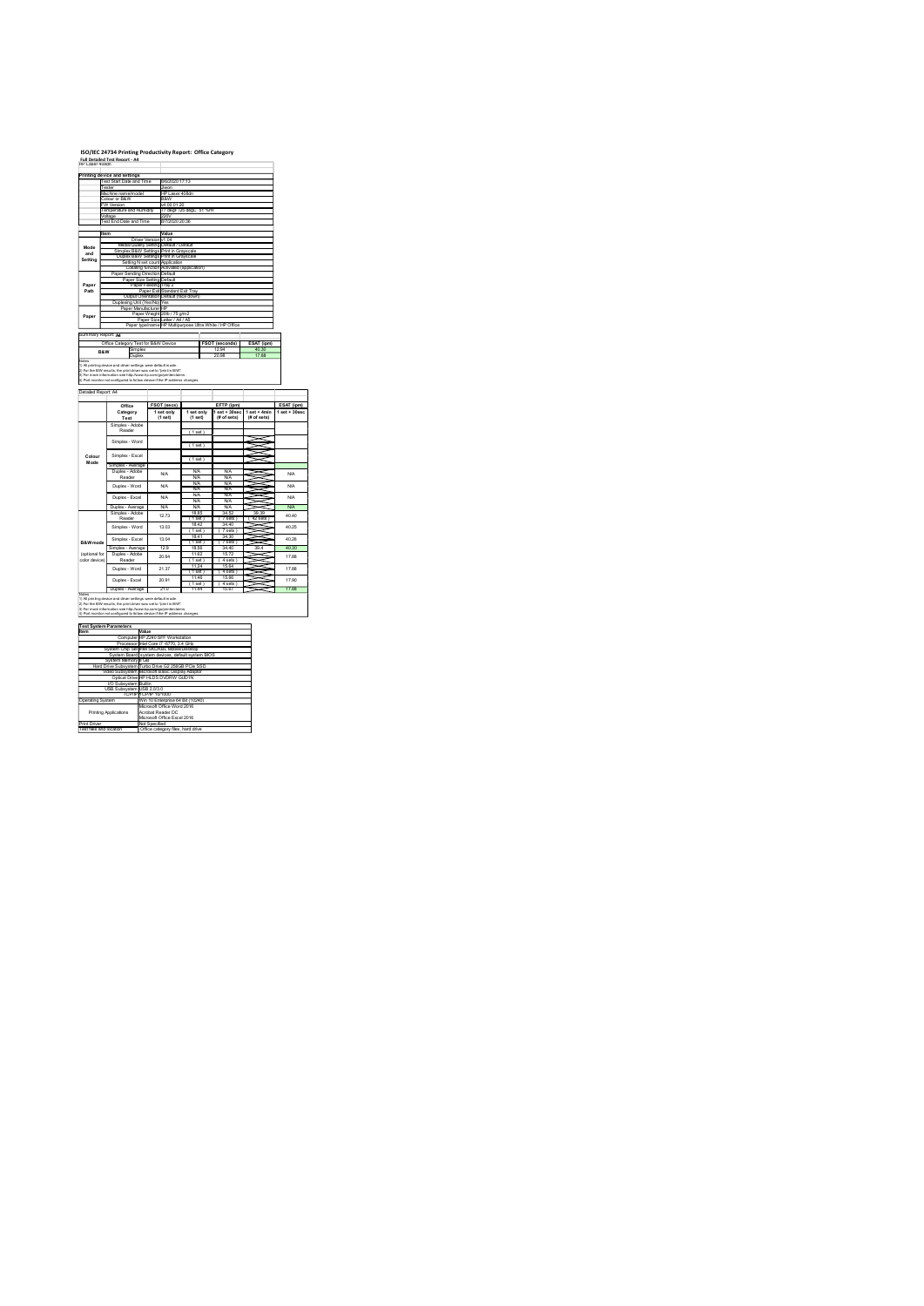## ISO/IEC 24734 Printing Productivity Report: Office Category Full Detailed Test Report - A4

|                     | ISO/IEC 24734 Printing Productivity Report: Office Category<br>Full Detailed Test Report - A4<br>HP Laser 408dn                                                                                                                                        |                                                                                                                                                               |                                        |                                 |                                              |                          |
|---------------------|--------------------------------------------------------------------------------------------------------------------------------------------------------------------------------------------------------------------------------------------------------|---------------------------------------------------------------------------------------------------------------------------------------------------------------|----------------------------------------|---------------------------------|----------------------------------------------|--------------------------|
|                     | Printing device and settings<br>Test Start Date and Time                                                                                                                                                                                               | 8/6/2020 17:13                                                                                                                                                |                                        |                                 |                                              |                          |
|                     | este                                                                                                                                                                                                                                                   |                                                                                                                                                               |                                        |                                 |                                              |                          |
|                     | fachine name/model<br>¦olour or B&W                                                                                                                                                                                                                    | Jiwon<br>HP Laser 408dn<br>B&W                                                                                                                                |                                        |                                 |                                              |                          |
|                     | W Version<br>emperature and Humidity<br>foltage<br>'est End Date and Time                                                                                                                                                                              |                                                                                                                                                               | v4.00.01.20<br>77 degF /25 degC 51 %rH |                                 |                                              |                          |
|                     |                                                                                                                                                                                                                                                        | 220V<br>8/7/2020 20:36                                                                                                                                        |                                        |                                 |                                              |                          |
| Mode<br>and         |                                                                                                                                                                                                                                                        | Value<br>Driver Version v1.04<br>Media/Quality Setting Default / Default<br>Simplex B&W Settings Print in Grayscale<br>Duplex B&W Settings Print in Grayscale |                                        |                                 |                                              |                          |
| Setting             | Setting N set count Application<br>Collating function Activated (application)<br>Paper Sending Direction Default                                                                                                                                       |                                                                                                                                                               |                                        |                                 |                                              |                          |
| Paper<br>Path       |                                                                                                                                                                                                                                                        |                                                                                                                                                               |                                        |                                 |                                              |                          |
|                     |                                                                                                                                                                                                                                                        |                                                                                                                                                               |                                        |                                 |                                              |                          |
| Paper               | Pape Serials Direction Default<br>Pape Size Setting Default<br>Pape Size Setting Default<br>Pape Size Setting Default<br>Pape There Setting Default<br>Display Default<br>Pape Size Albert IV (19 pm)<br>Pape Size Albert IV (19 pm)<br>Pape Size Albe |                                                                                                                                                               |                                        |                                 |                                              |                          |
| Summary Report A4   |                                                                                                                                                                                                                                                        |                                                                                                                                                               |                                        | $\frac{FSOT (seconds)}{12.94}$  | ESAT (ipm)<br>40.30                          |                          |
|                     | Office Category Test for B&W Device<br>B&W Simplex<br>Duplex<br><b>B&amp;W</b>                                                                                                                                                                         |                                                                                                                                                               | -1                                     | 20.98<br>ш                      | 17.88                                        |                          |
|                     | Duplex    Duplex<br>1) Ali printing device and citver settings were default mode.<br>2) For the BW results, the print chiver was setto "print in BW".<br>4) Fort more information see http://www.hp.com/go/printentalms.<br>4) Port moni               |                                                                                                                                                               |                                        |                                 |                                              |                          |
| Detailed Report: A4 | Office                                                                                                                                                                                                                                                 | FSOT (secs)                                                                                                                                                   |                                        | EFTP (ipm)                      |                                              | ESAT (ipm)               |
|                     | Category<br>Test                                                                                                                                                                                                                                       | 1 set only<br>(1 set)                                                                                                                                         | 1 set only<br>(1 set)                  | (# of sets)                     | 1 set + 30 sec   1 set + 4min<br>(# of sets) | $1 set + 30 sec$         |
|                     | Simplex - Adobe<br>Reader<br>Simplex - Word                                                                                                                                                                                                            |                                                                                                                                                               | (1 set)                                |                                 |                                              |                          |
| Colour<br>Mode      | Simplex - Excel                                                                                                                                                                                                                                        |                                                                                                                                                               | (1 set)<br>(1 set)                     |                                 | XX<br>≋                                      |                          |
|                     | Simplex - Average<br>Duplex - Adobe<br>Reader<br>Duplex - Word                                                                                                                                                                                         | <b>N/A</b><br><b>N/A</b>                                                                                                                                      | NA<br>NA<br>NA<br>NA                   | $\frac{N}{N}$<br>$\frac{N}{NA}$ | ₹<br>≂<br>SSI                                | <b>N/A</b><br><b>N/A</b> |

(1 set) 1 set only (1 set) 1 set + 30sec set + 30sec | 1 set + 4min | 1 set + 30sec |<br>(# of sets) | (# of sets) | ( set + 4 min | 1 set + 30sec | 1 set + 30sec | 1 set + 4 min | 1 set + 4 min | 1 set + 30sec | 1 set + 30sec | ( 1 set ) **1 set 1 set 1 set 1 set 1 set 1 set 1 set 1 set 1 set 1 set 1 set 1 set 1 set 1 set 1 set 1 set 1 set 1 set 1**  $\mathbb{W}\mathbb{W}$ Simplex - Average N/A N/A N/A N/A N/A N/A N/A N/A N/A N/A N/A N/A Duplex - Average N/A N/A N/A N/A 18.85 34.52 39.39 ( 1 sets ) ( 1 sets ) 18.42<br>
( 1 sets ) ( 1 sets ) 18.42<br>
( 1 sets ) ( 1 sets ) ( 1 sets ) 18.42<br>
( 1 sets ) ( 1 sets ) ( 1 sets ) ( 1 sets ) ( 1 sets ) ( 1 sets ) ( 1 sets )<br>
( 1 sets ) ( 1 sets ) ( 1 sets ) ( 1 sets ) ( ( 1 sets ) ( 1 sets ) ( 1 sets ) ( 1 sets ) ( 1 sets ) ( 1 sets ) ( 1 sets ) ( 1 sets ) ( 1 sets ) ( 1 sets ) ( 1 sets ) ( 1 sets ) ( 1 sets ) ( 1 sets ) ( 1 sets ) ( 1 sets ) ( 1 sets ) ( 1 sets ) ( 1 sets ) ( 1 sets ) ( ( 1 set ) ( 7 sets ) Simplex - Average 12.9 18.56 34.40 39.4 40.30 11.62 15.72 ( 1 set ) ( 1 set ) 11.24 11.24 11.25 11.25 11.25 11.25 11.25 11.25 11.25 11.25 11.25 11.25 11.24 11.24 11.24 1<br>
( 1 set ) ( 1 set ) ( 1 set ) ( 1 set ) ( 1 set ) ( 1 set ) ( 1 set ) ( 1 set ) ( 1 set ) ( 1 set ) ( 1 set ( 1 set ) and the set of the set of the set of the set of the set of the set of the set of the set of the set of the set of the set of the set of the set of the set of the set of the set of the set of the set of the set o ( 1 set ) ( 4 sets ) Duplex - Average 21.0 11.44 15.67 17.88 0.946 Adobe Reader - Adobe Duplex - Adobe Reader - Adobe Duplex - Adobe Reader - Word Duplex - Word Duplex - Word Duplex - Word Duplex - Word Duplex - Excel 17.88<br>Duplex - Excel 21.97 - Excel 17.48 - Excel 17.48 - Excel 1 17.90  $21.37$   $1.37$   $1.38$   $1.39$   $1.30$   $1.30$   $1.30$   $1.30$   $1.30$   $1.30$   $1.30$   $1.30$   $1.30$   $1.30$   $1.30$   $1.30$   $1.30$   $1.30$   $1.30$   $1.30$   $1.30$   $1.30$   $1.30$   $1.30$   $1.30$   $1.30$   $1.30$   $1.30$   $1.30$   $1.30$   $1.30$   $1.$  $\begin{array}{|c|c|c|c|c|c|c|} \hline \text{WAD} & \text{WAD} & \text{WAD} & \text{WAD} & \text{WAD} & \text{WAD} & \text{WAD} \\ \hline \text{WAD} & \text{WAD} & \text{WAD} & \text{WAD} & \text{WAD} & \text{WAD} & \text{WAD} \\ \hline \text{12.0} & \text{WAD} & \text{WAD} & \text{WAD} & \text{WAD} & \text{WAD} & \text{WAD} & \text{WAD} \\ \hline \text{13.0} & \text{WAD} & \text{WAD} & \text{WAD} & \$ 40.40 40.25 40.26  $\begin{tabular}{|c|c|c|c|c|c|c|c|c|} \hline \multicolumn{1}{c|}{\textbf{W}A}& $\mathbf{W}A$ & $\mathbf{W}A$ & $\mathbf{W}A$ & $\mathbf{W}A$ & $\mathbf{W}A$ & $\mathbf{W}A$ & $\mathbf{W}A$ & $\mathbf{W}A$ & $\mathbf{W}A$ & $\mathbf{W}A$ & $\mathbf{W}A$ & $\mathbf{W}A$ & $\mathbf{W}A$ & $\mathbf{W}A$ & $\mathbf{W}A$ & $\mathbf{W}A$ & $\mathbf{W}A$ & $\mathbf{W}A$ & $\mathbf{W}A$ & $\math$ Simplex - Adobe Reader Simplex - Word 13.03 Duplex - Excel 12.73 Notes 1) All printing device and driver settings were default mode. 2) For the B/W results, the print driver was set to "print in B/W". 3) For more information see http://www.hp.com/go/printerclaims. 4) Port monitor not configured to follow device if the IP address changes. B&W mode (optional for color device) Color device) Color device  $\frac{1}{\sqrt{2}}$  mode Simplex - Adobe Reader Simplex - Adobe Reader Simplex - Excel 3.04 Duplex - Adobe Reader Duplex - Adobe Reader Simplex - Adobe Reader Simplex - Adobe Reader Simpl Item Value Computer HP Z240 SFF Workstation Processor Intel Computer HP Z240 SFF Workstation Processor Intel Core i7 -6770, 3.4 GHz System Chip Set Intel Core intel Computer HP System Board system Board system Board Syste System Memory 8 GB Hard Drive Subsystem Turbo Drive G2 256GB PCIe SSD Video Subsystem Microsoft Basic Display Adaptor Optical Drive HP HLDS DVDRW GUD1N I/O Subsystem Builtin USB Subsystem USB 2.0/3.0 TCP/IP TCP/IP 10/1000 Operating System Win 10 Enterprise 64 Bit (10240) Printing Applications Microsoft Office Word 2016 Acrobat Reader DC Microsoft Office Excel 2016 Print Driver Not Specified Test files and location Office category files, hard drive Test System Parameters

| <b>Test System Parameters</b> |                                                    |
|-------------------------------|----------------------------------------------------|
| Item                          | Value                                              |
|                               | Computer HP Z240 SFF Workstation                   |
|                               | Processor Intel Core i7 -6770. 3.4 GHz             |
|                               | System Chip Set Intel SKL/KBL Mobile/Desktop       |
|                               | System Board system devices, default system BIOS   |
| System Memory 8 GB            |                                                    |
|                               | Hard Drive Subsystem Turbo Drive G2 256GB PCIe SSD |
|                               | Video Subsystem Microsoft Basic Display Adaptor    |
|                               | Optical Drive HP HLDS DVDRW GUD1N                  |
| <b>VO Subsystem Builtin</b>   |                                                    |
| USB Subsystem USB 2.0/3.0     |                                                    |
|                               | TCP/IP TCP/IP 10/1000                              |
| Operating System              | Win 10 Enterprise 64 Bit (10240)                   |
|                               | Microsoft Office Word 2016                         |
| Printing Applications         | Acrobat Reader DC                                  |
|                               | Microsoft Office Excel 2016                        |
| <b>Print Driver</b>           | Not Specified                                      |
| Test files and location       | Office category files, hard drive                  |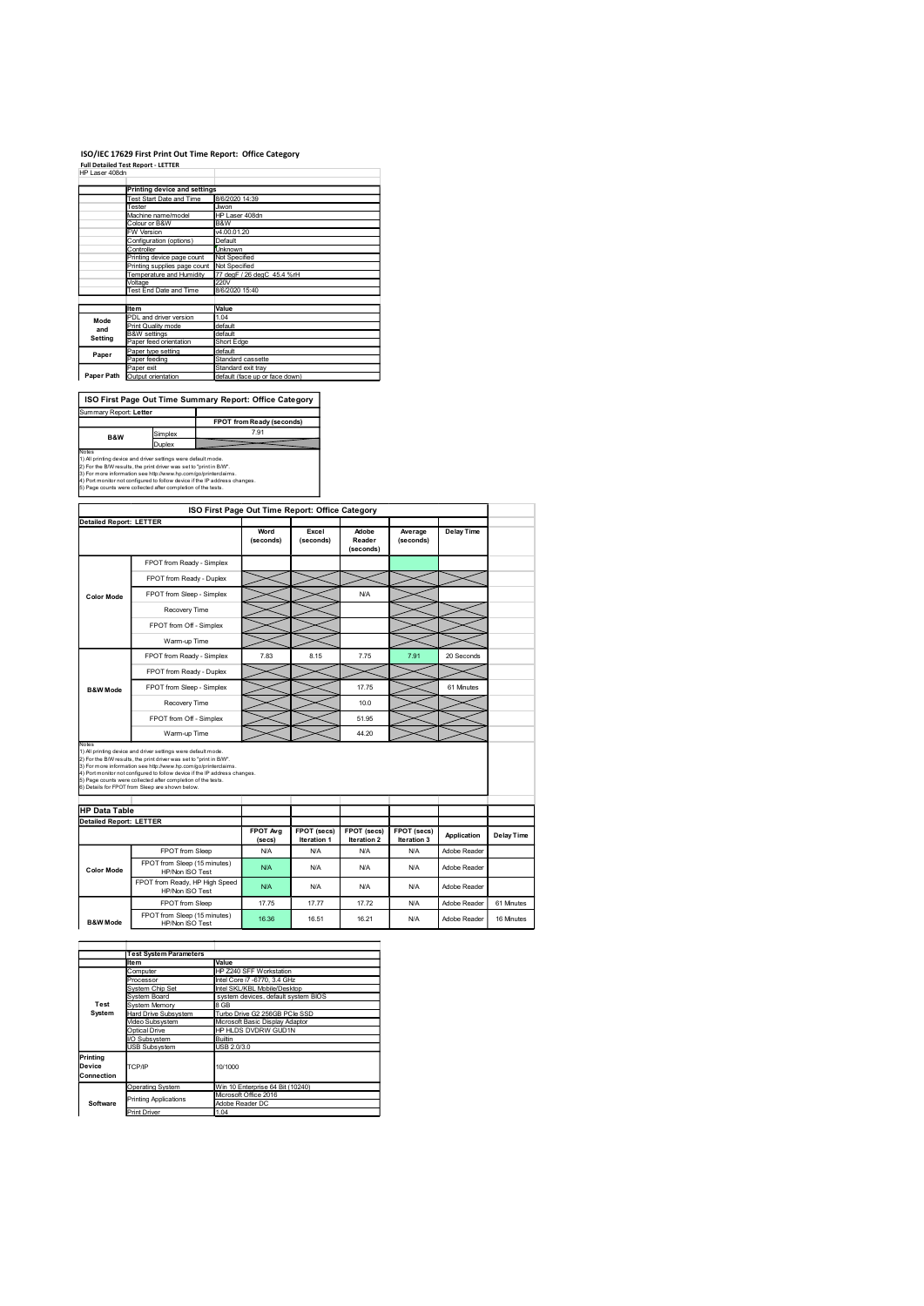## ISO/IEC 17629 First Print Out Time Report: Office Category

|                |                                                                                                                                      | ISO/IEC 17629 First Print Out Time Report: Office Category |
|----------------|--------------------------------------------------------------------------------------------------------------------------------------|------------------------------------------------------------|
|                | <b>Full Detailed Test Report - LETTER</b>                                                                                            |                                                            |
| HP Laser 408dn |                                                                                                                                      |                                                            |
|                | <b>Printing device and settings</b>                                                                                                  |                                                            |
|                | Test Start Date and Time                                                                                                             | 8/6/2020 14:39                                             |
|                | Tester<br>Machine name/model                                                                                                         | Jiwon<br>HP Laser 408dn                                    |
|                | Colour or B&W                                                                                                                        | B&W                                                        |
|                | W Version<br>Configuration (options)                                                                                                 | v4.00.01.20<br>Default                                     |
|                | Controller                                                                                                                           | Unknown                                                    |
|                | Printing device page count<br>Printing supplies page count                                                                           | Not Specified<br>Not Specified                             |
|                | Temperature and Humidity                                                                                                             | 77 degF / 26 degC 45.4 %rH                                 |
|                | Voltage<br>Test End Date and Time                                                                                                    | 220V<br>8/6/2020 15:40                                     |
|                |                                                                                                                                      |                                                            |
|                | ltem<br>PDL and driver version                                                                                                       | Value<br>1.04                                              |
| Mode<br>and    | Print Quality mode                                                                                                                   | default                                                    |
| Setting        | <b>B&amp;W</b> settings<br>Paper feed orientation                                                                                    | default<br>Short Edge                                      |
|                | Paper type setting                                                                                                                   | default                                                    |
| Paper          | Paper feeding                                                                                                                        | Standard cassette<br>Standard exit tray                    |
|                | Paper exit<br>Paper Path Output orientation                                                                                          | default (face up or face down)                             |
|                |                                                                                                                                      |                                                            |
|                |                                                                                                                                      | ISO First Page Out Time Summary Report: Office Category    |
|                | Summary Report: Letter                                                                                                               |                                                            |
|                |                                                                                                                                      |                                                            |
|                |                                                                                                                                      | FPOT from Ready (seconds)                                  |
| B&W            | Simplex                                                                                                                              | 7.91                                                       |
|                | Duplex                                                                                                                               |                                                            |
| Notes          | 1) All printing device and driver settings were default mode.<br>2) For the B/W results, the print driver was set to "print in B/W". |                                                            |

|                                | <b>Printing device and settings</b>                                                                                                           |                                    |                                                              |                                   |                            |                            |              |                   |
|--------------------------------|-----------------------------------------------------------------------------------------------------------------------------------------------|------------------------------------|--------------------------------------------------------------|-----------------------------------|----------------------------|----------------------------|--------------|-------------------|
|                                | Test Start Date and Time<br>Tester                                                                                                            | 8/6/2020 14:39<br>Jiwon            |                                                              |                                   |                            |                            |              |                   |
|                                | Machine name/model<br>HP Laser 408dn<br>Colour or B&W<br>B&W                                                                                  |                                    |                                                              |                                   |                            |                            |              |                   |
|                                | FW Version<br>v4.00.01.20<br>Default                                                                                                          |                                    |                                                              |                                   |                            |                            |              |                   |
|                                | Configuration (options)<br>Controller<br><b>Unknown</b>                                                                                       |                                    |                                                              |                                   |                            |                            |              |                   |
|                                | Printing device page count<br>Printing supplies page count Not Specified                                                                      | Not Specified                      |                                                              |                                   |                            |                            |              |                   |
|                                | Temperature and Humidity<br>Voltage                                                                                                           | 77 degF / 26 degC 45.4 %rH<br>220V |                                                              |                                   |                            |                            |              |                   |
|                                | Test End Date and Time<br>8/6/2020 15:40                                                                                                      |                                    |                                                              |                                   |                            |                            |              |                   |
|                                | Item<br>PDL and driver version                                                                                                                | Value<br>1.04                      |                                                              |                                   |                            |                            |              |                   |
| Mode<br>and                    | Print Quality mode                                                                                                                            | default                            |                                                              |                                   |                            |                            |              |                   |
| Setting                        | <b>B&amp;W</b> settings<br>Paper feed orientation                                                                                             | default<br>Short Edge              |                                                              |                                   |                            |                            |              |                   |
| Paper                          | Paper type setting<br>Paper feeding                                                                                                           | default<br>Standard cassette       |                                                              |                                   |                            |                            |              |                   |
| Paper Path                     | Paper exit<br>Output orientation                                                                                                              | Standard exit tray                 | default (face up or face down)                               |                                   |                            |                            |              |                   |
|                                |                                                                                                                                               |                                    |                                                              |                                   |                            |                            |              |                   |
|                                | ISO First Page Out Time Summary Report: Office Category                                                                                       |                                    |                                                              |                                   |                            |                            |              |                   |
| Summary Report: Letter         |                                                                                                                                               |                                    | FPOT from Ready (seconds)                                    |                                   |                            |                            |              |                   |
| B&W                            | Simplex                                                                                                                                       |                                    | 7.91                                                         |                                   |                            |                            |              |                   |
| Votes                          | Duplex                                                                                                                                        |                                    |                                                              |                                   |                            |                            |              |                   |
|                                | ) All printing device and driver settings were default mode.<br>2) For the B/W results, the print driver was set to "print in B/W".           |                                    |                                                              |                                   |                            |                            |              |                   |
|                                | 3) For more information see http://www.hp.com/go/printerclaims.<br>4) Port monitor not configured to follow device if the IP address changes. |                                    |                                                              |                                   |                            |                            |              |                   |
|                                | 5) Page counts were collected after completion of the tests.                                                                                  |                                    |                                                              |                                   |                            |                            |              |                   |
|                                |                                                                                                                                               |                                    | ISO First Page Out Time Report: Office Category              |                                   |                            |                            |              |                   |
| <b>Detailed Report: LETTER</b> |                                                                                                                                               |                                    |                                                              |                                   |                            |                            |              |                   |
|                                |                                                                                                                                               |                                    | Word<br>(seconds)                                            | Excel<br>(seconds)                | Adobe<br>Reader            | Average<br>(seconds)       | Delay Time   |                   |
|                                |                                                                                                                                               |                                    |                                                              |                                   | (seconds)                  |                            |              |                   |
|                                | FPOT from Ready - Simplex                                                                                                                     |                                    |                                                              |                                   |                            |                            |              |                   |
|                                | FPOT from Ready - Duplex                                                                                                                      |                                    |                                                              |                                   |                            |                            |              |                   |
| <b>Color Mode</b>              | FPOT from Sleep - Simplex                                                                                                                     |                                    |                                                              |                                   | <b>N/A</b>                 |                            |              |                   |
|                                | Recovery Time                                                                                                                                 |                                    |                                                              |                                   |                            |                            |              |                   |
|                                | FPOT from Off - Simplex                                                                                                                       |                                    |                                                              |                                   |                            |                            |              |                   |
|                                | Warm-up Time                                                                                                                                  |                                    |                                                              |                                   |                            |                            |              |                   |
|                                | FPOT from Ready - Simplex                                                                                                                     |                                    | 7.83                                                         | 8.15                              | 7.75                       | 7.91                       | 20 Seconds   |                   |
|                                | FPOT from Ready - Duplex                                                                                                                      |                                    |                                                              |                                   |                            |                            |              |                   |
| <b>B&amp;W Mode</b>            | FPOT from Sleep - Simplex                                                                                                                     |                                    |                                                              |                                   | 17.75                      |                            | 61 Minutes   |                   |
|                                | Recovery Time                                                                                                                                 |                                    |                                                              |                                   | 10.0                       |                            |              |                   |
|                                | FPOT from Off - Simplex                                                                                                                       |                                    |                                                              |                                   | 51.95                      |                            |              |                   |
|                                | Warm-up Time                                                                                                                                  |                                    |                                                              |                                   | 44.20                      |                            |              |                   |
| Notes                          | ) All printing device and driver settings were default mode.                                                                                  |                                    |                                                              |                                   |                            |                            |              |                   |
|                                | 2) For the B/W results, the print driver was set to "print in B/W".<br>3) For more information see http://www.hp.com/go/printerclaims.        |                                    |                                                              |                                   |                            |                            |              |                   |
|                                | 1) Port monitor not configured to follow device if the IP address changes.<br>5) Page counts were collected after completion of the tests.    |                                    |                                                              |                                   |                            |                            |              |                   |
|                                | 6) Details for FPOT from Sleep are shown below.                                                                                               |                                    |                                                              |                                   |                            |                            |              |                   |
| <b>HP Data Table</b>           |                                                                                                                                               |                                    |                                                              |                                   |                            |                            |              |                   |
| <b>Detailed Report: LETTER</b> |                                                                                                                                               |                                    |                                                              |                                   |                            |                            |              |                   |
|                                |                                                                                                                                               |                                    | FPOT Avg<br>(secs)                                           | FPOT (secs)<br><b>Iteration 1</b> | FPOT (secs)<br>Iteration 2 | FPOT (secs)<br>Iteration 3 | Application  | <b>Delay Time</b> |
|                                | FPOT from Sleep                                                                                                                               |                                    | <b>N/A</b>                                                   | <b>N/A</b>                        | <b>N/A</b>                 | <b>N/A</b>                 | Adobe Reader |                   |
| <b>Color Mode</b>              | FPOT from Sleep (15 minutes)<br>HP/Non ISO Test                                                                                               |                                    | N/A                                                          | <b>N/A</b>                        | <b>N/A</b>                 | <b>N/A</b>                 | Adobe Reader |                   |
|                                | FPO I from Ready, HP High Speed                                                                                                               |                                    | <b>N/A</b>                                                   | <b>N/A</b>                        | N/A                        | <b>N/A</b>                 | Adobe Reader |                   |
|                                | HP/Non ISO Test<br>FPOT from Sleep                                                                                                            |                                    | 17.75                                                        | 17.77                             | 17.72                      | <b>N/A</b>                 | Adobe Reader | 61 Minutes        |
|                                | FPOT from Sleep (15 minutes)                                                                                                                  |                                    |                                                              |                                   |                            |                            |              |                   |
| <b>B&amp;W</b> Mode            | HP/Non ISO Test                                                                                                                               |                                    | 16.36                                                        | 16.51                             | 16.21                      | <b>N/A</b>                 | Adobe Reader | 16 Minutes        |
|                                |                                                                                                                                               |                                    |                                                              |                                   |                            |                            |              |                   |
|                                | <b>Test System Parameters</b><br>Item                                                                                                         | Value                              |                                                              |                                   |                            |                            |              |                   |
|                                | Computer                                                                                                                                      |                                    | HP Z240 SFF Workstation                                      |                                   |                            |                            |              |                   |
|                                | Processor<br>System Chip Set                                                                                                                  |                                    | Intel Core i7 -6770, 3.4 GHz<br>Intel SKL/KBL Mobile/Desktop |                                   |                            |                            |              |                   |
| Test                           | System Board<br>System Memory                                                                                                                 | 8 GB                               | system devices, default system BIOS                          |                                   |                            |                            |              |                   |
| System                         | Hard Drive Subsystem                                                                                                                          |                                    | Turbo Drive G2 256GB PCIe SSD                                |                                   |                            |                            |              |                   |
|                                | Video Subsystem<br>Optical Drive                                                                                                              |                                    | Microsoft Basic Display Adaptor<br>HP HLDS DVDRW GUD1N       |                                   |                            |                            |              |                   |
|                                | I/O Subsystem<br><b>USB Subsystem</b>                                                                                                         | Builtin<br>USB 2.0/3.0             |                                                              |                                   |                            |                            |              |                   |
| Printing                       |                                                                                                                                               |                                    |                                                              |                                   |                            |                            |              |                   |
| Device<br>Connection           | TCP/IP                                                                                                                                        | 10/1000                            |                                                              |                                   |                            |                            |              |                   |
|                                | <b>Operating System</b>                                                                                                                       |                                    | Win 10 Enterprise 64 Bit (10240)                             |                                   |                            |                            |              |                   |
| Software                       | Printing Applications                                                                                                                         | Adobe Reader DC                    | Microsoft Office 2016                                        |                                   |                            |                            |              |                   |
|                                | <b>Print Driver</b>                                                                                                                           | 1.04                               |                                                              |                                   |                            |                            |              |                   |
|                                |                                                                                                                                               |                                    |                                                              |                                   |                            |                            |              |                   |
|                                |                                                                                                                                               |                                    |                                                              |                                   |                            |                            |              |                   |
|                                |                                                                                                                                               |                                    |                                                              |                                   |                            |                            |              |                   |
|                                |                                                                                                                                               |                                    |                                                              |                                   |                            |                            |              |                   |
|                                |                                                                                                                                               |                                    |                                                              |                                   |                            |                            |              |                   |
|                                |                                                                                                                                               |                                    |                                                              |                                   |                            |                            |              |                   |
|                                |                                                                                                                                               |                                    |                                                              |                                   |                            |                            |              |                   |

|                                  | <b>Test System Parameters</b> |                                          |  |  |  |
|----------------------------------|-------------------------------|------------------------------------------|--|--|--|
|                                  | Item                          | Value                                    |  |  |  |
|                                  | Computer                      | HP Z240 SFF Workstation                  |  |  |  |
|                                  | Processor                     | Intel Core i7 -6770, 3.4 GHz             |  |  |  |
|                                  | <b>System Chip Set</b>        | Intel SKL/KBL Mobile/Desktop             |  |  |  |
|                                  | System Board                  | system devices, default system BIOS      |  |  |  |
| Test                             | System Memory                 | 8 GB                                     |  |  |  |
| System                           | Hard Drive Subsystem          | Turbo Drive G2 256GB PCIe SSD            |  |  |  |
|                                  | Video Subsystem               | Microsoft Basic Display Adaptor          |  |  |  |
|                                  | Optical Drive                 | HP HLDS DVDRW GUD1N                      |  |  |  |
|                                  | I/O Subsystem                 | <b>Builtin</b>                           |  |  |  |
|                                  | <b>USB Subsystem</b>          | USB 2.0/3.0                              |  |  |  |
| Printing<br>Device<br>Connection | TCP/IP                        | 10/1000                                  |  |  |  |
|                                  | <b>Operating System</b>       | Win 10 Enterprise 64 Bit (10240)         |  |  |  |
| Software                         | <b>Printing Applications</b>  | Microsoft Office 2016<br>Adobe Reader DC |  |  |  |
|                                  | <b>Print Driver</b>           | 1.04                                     |  |  |  |